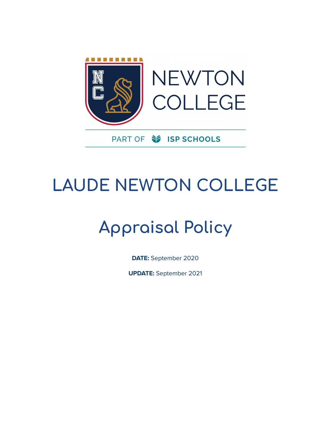

# **LAUDE NEWTON COLLEGE**

# **Appraisal Policy**

**DATE:** September 2020

**UPDATE:** September 2021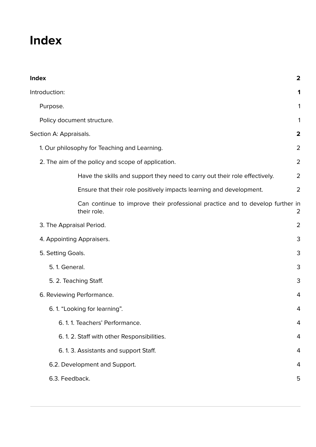## <span id="page-1-0"></span>**Index**

| <b>Index</b>                                                                                 | $\overline{\mathbf{2}}$ |
|----------------------------------------------------------------------------------------------|-------------------------|
| Introduction:                                                                                | 1                       |
| Purpose.                                                                                     | 1                       |
| Policy document structure.                                                                   | 1                       |
| Section A: Appraisals.                                                                       | $\overline{\mathbf{2}}$ |
| 1. Our philosophy for Teaching and Learning.                                                 | $\overline{2}$          |
| 2. The aim of the policy and scope of application.                                           | $\overline{2}$          |
| Have the skills and support they need to carry out their role effectively.                   | $\overline{2}$          |
| Ensure that their role positively impacts learning and development.                          | $\overline{2}$          |
| Can continue to improve their professional practice and to develop further in<br>their role. | 2                       |
| 3. The Appraisal Period.                                                                     | $\overline{2}$          |
| 4. Appointing Appraisers.                                                                    | 3                       |
| 5. Setting Goals.                                                                            | 3                       |
| 5.1. General.                                                                                | 3                       |
| 5. 2. Teaching Staff.                                                                        | 3                       |
| 6. Reviewing Performance.                                                                    | 4                       |
| 6.1. "Looking for learning".                                                                 | 4                       |
| 6.1.1. Teachers' Performance.                                                                | 4                       |
| 6.1.2. Staff with other Responsibilities.                                                    | 4                       |
| 6.1.3. Assistants and support Staff.                                                         | 4                       |
| 6.2. Development and Support.                                                                | 4                       |
| 6.3. Feedback.                                                                               | 5                       |
|                                                                                              |                         |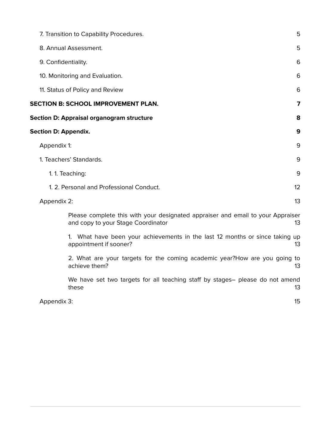| 7. Transition to Capability Procedures.                                                                               | 5  |  |  |
|-----------------------------------------------------------------------------------------------------------------------|----|--|--|
| 8. Annual Assessment.                                                                                                 | 5  |  |  |
| 9. Confidentiality.                                                                                                   | 6  |  |  |
| 10. Monitoring and Evaluation.                                                                                        | 6  |  |  |
| 11. Status of Policy and Review                                                                                       | 6  |  |  |
| <b>SECTION B: SCHOOL IMPROVEMENT PLAN.</b>                                                                            | 7  |  |  |
| <b>Section D: Appraisal organogram structure</b>                                                                      | 8  |  |  |
| <b>Section D: Appendix.</b><br>9                                                                                      |    |  |  |
| Appendix 1:<br>9                                                                                                      |    |  |  |
| 1. Teachers' Standards.<br>9                                                                                          |    |  |  |
| 1.1. Teaching:<br>9                                                                                                   |    |  |  |
| 1. 2. Personal and Professional Conduct.<br>12                                                                        |    |  |  |
| 13<br>Appendix 2:                                                                                                     |    |  |  |
| Please complete this with your designated appraiser and email to your Appraiser<br>and copy to your Stage Coordinator | 13 |  |  |
| What have been your achievements in the last 12 months or since taking up<br>appointment if sooner?                   | 13 |  |  |
| 2. What are your targets for the coming academic year?How are you going to<br>achieve them?                           | 13 |  |  |
| We have set two targets for all teaching staff by stages- please do not amend<br>these                                | 13 |  |  |
| Appendix 3:<br>15                                                                                                     |    |  |  |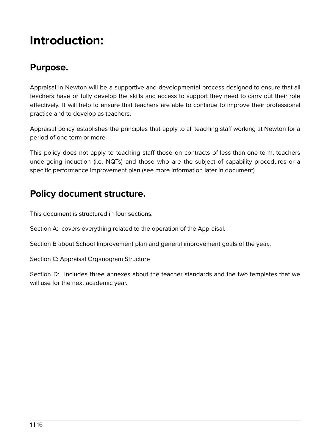## <span id="page-4-0"></span>**Introduction:**

### <span id="page-4-1"></span>**Purpose.**

Appraisal in Newton will be a supportive and developmental process designed to ensure that all teachers have or fully develop the skills and access to support they need to carry out their role effectively. It will help to ensure that teachers are able to continue to improve their professional practice and to develop as teachers.

Appraisal policy establishes the principles that apply to all teaching staff working at Newton for a period of one term or more.

This policy does not apply to teaching staff those on contracts of less than one term, teachers undergoing induction (i.e. NQTs) and those who are the subject of capability procedures or a specific performance improvement plan (see more information later in document).

## <span id="page-4-2"></span>**Policy document structure.**

This document is structured in four sections:

Section A: covers everything related to the operation of the Appraisal.

Section B about School Improvement plan and general improvement goals of the year..

Section C: Appraisal Organogram Structure

Section D: Includes three annexes about the teacher standards and the two templates that we will use for the next academic year.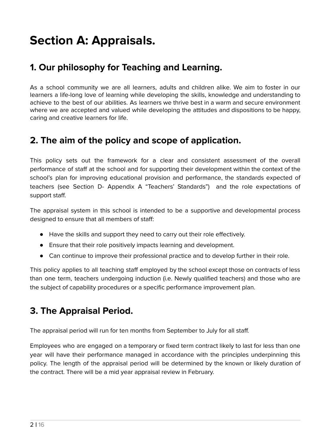## <span id="page-5-0"></span>**Section A: Appraisals.**

### <span id="page-5-1"></span>**1. Our philosophy for Teaching and Learning.**

As a school community we are all learners, adults and children alike. We aim to foster in our learners a life-long love of learning while developing the skills, knowledge and understanding to achieve to the best of our abilities. As learners we thrive best in a warm and secure environment where we are accepted and valued while developing the attitudes and dispositions to be happy, caring and creative learners for life.

#### <span id="page-5-2"></span>**2. The aim of the policy and scope of application.**

This policy sets out the framework for a clear and consistent assessment of the overall performance of staff at the school and for supporting their development within the context of the school's plan for improving educational provision and performance, the standards expected of teachers (see Section D- Appendix A "Teachers' Standards") and the role expectations of support staff.

The appraisal system in this school is intended to be a supportive and developmental process designed to ensure that all members of staff:

- Have the skills and support they need to carry out their role effectively.
- Ensure that their role positively impacts learning and development.
- <span id="page-5-3"></span>● Can continue to improve their professional practice and to develop further in their role.

This policy applies to all teaching staff employed by the school except those on contracts of less than one term, teachers undergoing induction (i.e. Newly qualified teachers) and those who are the subject of capability procedures or a specific performance improvement plan.

### <span id="page-5-4"></span>**3. The Appraisal Period.**

The appraisal period will run for ten months from September to July for all staff.

Employees who are engaged on a temporary or fixed term contract likely to last for less than one year will have their performance managed in accordance with the principles underpinning this policy. The length of the appraisal period will be determined by the known or likely duration of the contract. There will be a mid year appraisal review in February.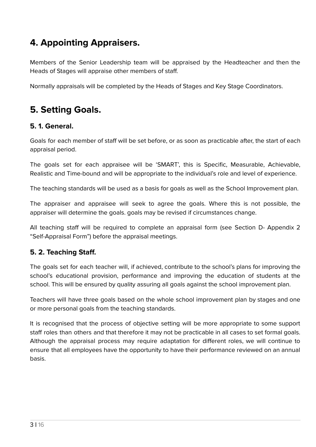### <span id="page-6-0"></span>**4. Appointing Appraisers.**

Members of the Senior Leadership team will be appraised by the Headteacher and then the Heads of Stages will appraise other members of staff.

Normally appraisals will be completed by the Heads of Stages and Key Stage Coordinators.

## <span id="page-6-1"></span>**5. Setting Goals.**

#### <span id="page-6-2"></span>**5. 1. General.**

Goals for each member of staff will be set before, or as soon as practicable after, the start of each appraisal period.

The goals set for each appraisee will be 'SMART', this is Specific, Measurable, Achievable, Realistic and Time-bound and will be appropriate to the individual's role and level of experience.

The teaching standards will be used as a basis for goals as well as the School Improvement plan.

The appraiser and appraisee will seek to agree the goals. Where this is not possible, the appraiser will determine the goals. goals may be revised if circumstances change.

All teaching staff will be required to complete an appraisal form (see Section D- Appendix 2 "Self-Appraisal Form") before the appraisal meetings.

#### <span id="page-6-3"></span>**5. 2. Teaching Staff.**

The goals set for each teacher will, if achieved, contribute to the school's plans for improving the school's educational provision, performance and improving the education of students at the school. This will be ensured by quality assuring all goals against the school improvement plan.

Teachers will have three goals based on the whole school improvement plan by stages and one or more personal goals from the teaching standards.

It is recognised that the process of objective setting will be more appropriate to some support staff roles than others and that therefore it may not be practicable in all cases to set formal goals. Although the appraisal process may require adaptation for different roles, we will continue to ensure that all employees have the opportunity to have their performance reviewed on an annual basis.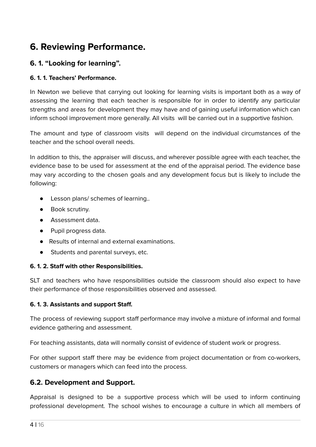## <span id="page-7-0"></span>**6. Reviewing Performance.**

#### <span id="page-7-1"></span>**6. 1. "Looking for learning".**

#### <span id="page-7-2"></span>**6. 1. 1. Teachers' Performance.**

In Newton we believe that carrying out looking for learning visits is important both as a way of assessing the learning that each teacher is responsible for in order to identify any particular strengths and areas for development they may have and of gaining useful information which can inform school improvement more generally. All visits will be carried out in a supportive fashion.

The amount and type of classroom visits will depend on the individual circumstances of the teacher and the school overall needs.

In addition to this, the appraiser will discuss, and wherever possible agree with each teacher, the evidence base to be used for assessment at the end of the appraisal period. The evidence base may vary according to the chosen goals and any development focus but is likely to include the following:

- Lesson plans/ schemes of learning..
- Book scrutiny.
- Assessment data.
- Pupil progress data.
- Results of internal and external examinations.
- Students and parental surveys, etc.

#### <span id="page-7-3"></span>**6. 1. 2. Staff with other Responsibilities.**

SLT and teachers who have responsibilities outside the classroom should also expect to have their performance of those responsibilities observed and assessed.

#### <span id="page-7-4"></span>**6. 1. 3. Assistants and support Staff.**

The process of reviewing support staff performance may involve a mixture of informal and formal evidence gathering and assessment.

For teaching assistants, data will normally consist of evidence of student work or progress.

For other support staff there may be evidence from project documentation or from co-workers, customers or managers which can feed into the process.

#### <span id="page-7-5"></span>**6.2. Development and Support.**

Appraisal is designed to be a supportive process which will be used to inform continuing professional development. The school wishes to encourage a culture in which all members of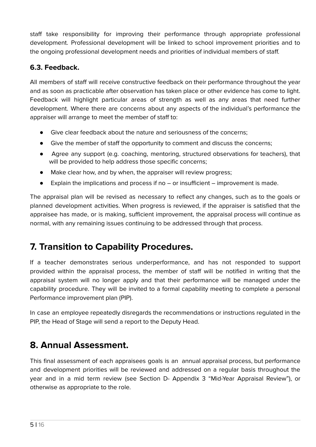staff take responsibility for improving their performance through appropriate professional development. Professional development will be linked to school improvement priorities and to the ongoing professional development needs and priorities of individual members of staff.

#### <span id="page-8-0"></span>**6.3. Feedback.**

All members of staff will receive constructive feedback on their performance throughout the year and as soon as practicable after observation has taken place or other evidence has come to light. Feedback will highlight particular areas of strength as well as any areas that need further development. Where there are concerns about any aspects of the individual's performance the appraiser will arrange to meet the member of staff to:

- Give clear feedback about the nature and seriousness of the concerns;
- Give the member of staff the opportunity to comment and discuss the concerns;
- Agree any support (e.g. coaching, mentoring, structured observations for teachers), that will be provided to help address those specific concerns;
- Make clear how, and by when, the appraiser will review progress;
- Explain the implications and process if no  $-$  or insufficient  $-$  improvement is made.

The appraisal plan will be revised as necessary to reflect any changes, such as to the goals or planned development activities. When progress is reviewed, if the appraiser is satisfied that the appraisee has made, or is making, sufficient improvement, the appraisal process will continue as normal, with any remaining issues continuing to be addressed through that process.

### <span id="page-8-1"></span>**7. Transition to Capability Procedures.**

If a teacher demonstrates serious underperformance, and has not responded to support provided within the appraisal process, the member of staff will be notified in writing that the appraisal system will no longer apply and that their performance will be managed under the capability procedure. They will be invited to a formal capability meeting to complete a personal Performance improvement plan (PIP).

In case an employee repeatedly disregards the recommendations or instructions regulated in the PIP, the Head of Stage will send a report to the Deputy Head.

#### <span id="page-8-2"></span>**8. Annual Assessment.**

This final assessment of each appraisees goals is an annual appraisal process, but performance and development priorities will be reviewed and addressed on a regular basis throughout the year and in a mid term review (see Section D- Appendix 3 "Mid-Year Appraisal Review"), or otherwise as appropriate to the role.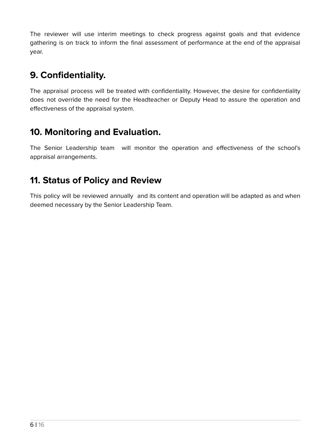The reviewer will use interim meetings to check progress against goals and that evidence gathering is on track to inform the final assessment of performance at the end of the appraisal year.

## <span id="page-9-0"></span>**9. Confidentiality.**

The appraisal process will be treated with confidentiality. However, the desire for confidentiality does not override the need for the Headteacher or Deputy Head to assure the operation and effectiveness of the appraisal system.

### <span id="page-9-1"></span>**10. Monitoring and Evaluation.**

The Senior Leadership team will monitor the operation and effectiveness of the school's appraisal arrangements.

### <span id="page-9-2"></span>**11. Status of Policy and Review**

This policy will be reviewed annually and its content and operation will be adapted as and when deemed necessary by the Senior Leadership Team.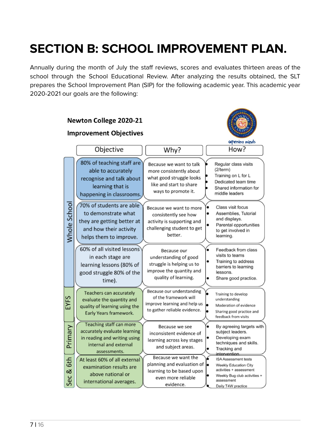## <span id="page-10-0"></span>**SECTION B: SCHOOL IMPROVEMENT PLAN.**

Annually during the month of July the staff reviews, scores and evaluates thirteen areas of the school through the School Educational Review. After analyzing the results obtained, the SLT prepares the School Improvement Plan (SIP) for the following academic year. This academic year 2020-2021 our goals are the following:

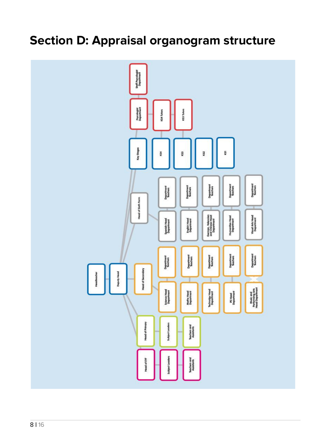## <span id="page-11-0"></span>**Section D: Appraisal organogram structure**

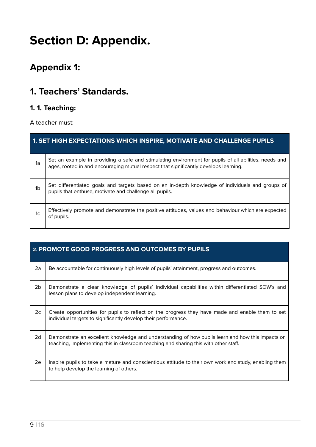## <span id="page-12-0"></span>**Section D: Appendix.**

## <span id="page-12-1"></span>**Appendix 1:**

### <span id="page-12-2"></span>**1. Teachers' Standards.**

#### <span id="page-12-3"></span>**1. 1. Teaching:**

A teacher must:

| 1. SET HIGH EXPECTATIONS WHICH INSPIRE, MOTIVATE AND CHALLENGE PUPILS |                                                                                                                                                                                               |  |  |
|-----------------------------------------------------------------------|-----------------------------------------------------------------------------------------------------------------------------------------------------------------------------------------------|--|--|
| 1a                                                                    | Set an example in providing a safe and stimulating environment for pupils of all abilities, needs and<br>ages, rooted in and encouraging mutual respect that significantly develops learning. |  |  |
| 1 <sub>b</sub>                                                        | Set differentiated goals and targets based on an in-depth knowledge of individuals and groups of<br>pupils that enthuse, motivate and challenge all pupils.                                   |  |  |
| 1 <sub>c</sub>                                                        | Effectively promote and demonstrate the positive attitudes, values and behaviour which are expected<br>of pupils.                                                                             |  |  |

| 2. PROMOTE GOOD PROGRESS AND OUTCOMES BY PUPILS |                                                                                                                                                                                          |  |
|-------------------------------------------------|------------------------------------------------------------------------------------------------------------------------------------------------------------------------------------------|--|
| 2a                                              | Be accountable for continuously high levels of pupils' attainment, progress and outcomes.                                                                                                |  |
| 2b                                              | Demonstrate a clear knowledge of pupils' individual capabilities within differentiated SOW's and<br>lesson plans to develop independent learning.                                        |  |
| 2c                                              | Create opportunities for pupils to reflect on the progress they have made and enable them to set<br>individual targets to significantly develop their performance.                       |  |
| 2d                                              | Demonstrate an excellent knowledge and understanding of how pupils learn and how this impacts on<br>teaching, implementing this in classroom teaching and sharing this with other staff. |  |
| 2e                                              | Inspire pupils to take a mature and conscientious attitude to their own work and study, enabling them<br>to help develop the learning of others.                                         |  |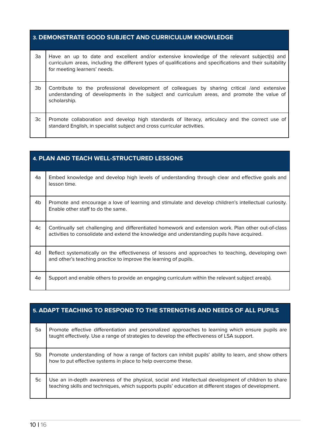| 3. DEMONSTRATE GOOD SUBJECT AND CURRICULUM KNOWLEDGE |                                                                                                                                                                                                                                          |  |  |
|------------------------------------------------------|------------------------------------------------------------------------------------------------------------------------------------------------------------------------------------------------------------------------------------------|--|--|
| 3a                                                   | Have an up to date and excellent and/or extensive knowledge of the relevant subject(s) and<br>curriculum areas, including the different types of qualifications and specifications and their suitability<br>for meeting learners' needs. |  |  |
| 3b                                                   | Contribute to the professional development of colleagues by sharing critical /and extensive<br>understanding of developments in the subject and curriculum areas, and promote the value of<br>scholarship.                               |  |  |
| 3c                                                   | Promote collaboration and develop high standards of literacy, articulacy and the correct use of<br>standard English, in specialist subject and cross curricular activities.                                                              |  |  |

| <b>4. PLAN AND TEACH WELL-STRUCTURED LESSONS</b> |                                                                                                                                                                                                   |  |
|--------------------------------------------------|---------------------------------------------------------------------------------------------------------------------------------------------------------------------------------------------------|--|
| 4a                                               | Embed knowledge and develop high levels of understanding through clear and effective goals and<br>lesson time.                                                                                    |  |
| 4b                                               | Promote and encourage a love of learning and stimulate and develop children's intellectual curiosity.<br>Enable other staff to do the same.                                                       |  |
| 4c                                               | Continually set challenging and differentiated homework and extension work. Plan other out-of-class<br>activities to consolidate and extend the knowledge and understanding pupils have acquired. |  |
| 4d                                               | Reflect systematically on the effectiveness of lessons and approaches to teaching, developing own<br>and other's teaching practice to improve the learning of pupils.                             |  |
| 4e                                               | Support and enable others to provide an engaging curriculum within the relevant subject area(s).                                                                                                  |  |

| 5. ADAPT TEACHING TO RESPOND TO THE STRENGTHS AND NEEDS OF ALL PUPILS |                                                                                                                                                                                                             |  |  |
|-----------------------------------------------------------------------|-------------------------------------------------------------------------------------------------------------------------------------------------------------------------------------------------------------|--|--|
| 5a                                                                    | Promote effective differentiation and personalized approaches to learning which ensure pupils are<br>taught effectively. Use a range of strategies to develop the effectiveness of LSA support.             |  |  |
| 5b                                                                    | Promote understanding of how a range of factors can inhibit pupils' ability to learn, and show others<br>how to put effective systems in place to help overcome these.                                      |  |  |
| 5c                                                                    | Use an in-depth awareness of the physical, social and intellectual development of children to share<br>teaching skills and techniques, which supports pupils' education at different stages of development. |  |  |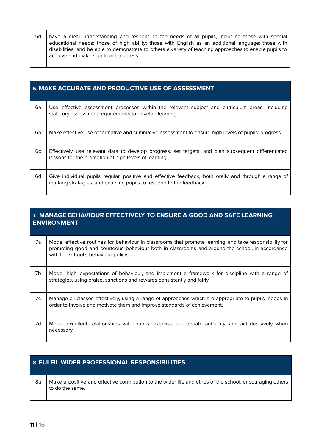5d have a clear understanding and respond to the needs of all pupils, including those with special educational needs; those of high ability; those with English as an additional language; those with disabilities; and be able to demonstrate to others a variety of teaching approaches to enable pupils to achieve and make significant progress.

| 6. MAKE ACCURATE AND PRODUCTIVE USE OF ASSESSMENT |                                                                                                                                                                            |  |
|---------------------------------------------------|----------------------------------------------------------------------------------------------------------------------------------------------------------------------------|--|
| 6a                                                | Use effective assessment processes within the relevant subject and curriculum areas, including<br>statutory assessment requirements to develop learning.                   |  |
| 6b                                                | Make effective use of formative and summative assessment to ensure high levels of pupils' progress.                                                                        |  |
| 6c                                                | Effectively use relevant data to develop progress, set targets, and plan subsequent differentiated<br>lessons for the promotion of high levels of learning.                |  |
| 6d                                                | Give individual pupils regular, positive and effective feedback, both orally and through a range of<br>marking strategies, and enabling pupils to respond to the feedback. |  |

## **7. MANAGE BEHAVIOUR EFFECTIVELY TO ENSURE A GOOD AND SAFE LEARNING ENVIRONMENT** 7a Model effective routines for behaviour in classrooms that promote learning, and take responsibility for promoting good and courteous behaviour both in classrooms and around the school, in accordance with the school's behaviour policy. 7b Model high expectations of behaviour, and implement a framework for discipline with a range of strategies, using praise, sanctions and rewards consistently and fairly. 7c Manage all classes effectively, using a range of approaches which are appropriate to pupils' needs in order to involve and motivate them and improve standards of achievement. 7d Model excellent relationships with pupils, exercise appropriate authority, and act decisively when necessary.

#### **8. FULFIL WIDER PROFESSIONAL RESPONSIBILITIES**

8a | Make a positive and effective contribution to the wider life and ethos of the school, encouraging others to do the same.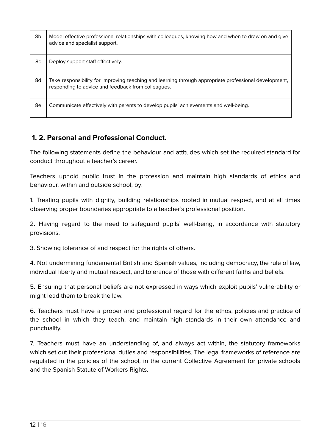| 8b | Model effective professional relationships with colleagues, knowing how and when to draw on and give<br>advice and specialist support.                      |
|----|-------------------------------------------------------------------------------------------------------------------------------------------------------------|
| 8c | Deploy support staff effectively.                                                                                                                           |
| 8d | Take responsibility for improving teaching and learning through appropriate professional development,<br>responding to advice and feedback from colleagues. |
| 8e | Communicate effectively with parents to develop pupils' achievements and well-being.                                                                        |

#### <span id="page-15-0"></span>**1. 2. Personal and Professional Conduct.**

The following statements define the behaviour and attitudes which set the required standard for conduct throughout a teacher's career.

Teachers uphold public trust in the profession and maintain high standards of ethics and behaviour, within and outside school, by:

1. Treating pupils with dignity, building relationships rooted in mutual respect, and at all times observing proper boundaries appropriate to a teacher's professional position.

2. Having regard to the need to safeguard pupils' well-being, in accordance with statutory provisions.

3. Showing tolerance of and respect for the rights of others.

4. Not undermining fundamental British and Spanish values, including democracy, the rule of law, individual liberty and mutual respect, and tolerance of those with different faiths and beliefs.

5. Ensuring that personal beliefs are not expressed in ways which exploit pupils' vulnerability or might lead them to break the law.

6. Teachers must have a proper and professional regard for the ethos, policies and practice of the school in which they teach, and maintain high standards in their own attendance and punctuality.

7. Teachers must have an understanding of, and always act within, the statutory frameworks which set out their professional duties and responsibilities. The legal frameworks of reference are regulated in the policies of the school, in the current Collective Agreement for private schools and the Spanish Statute of Workers Rights.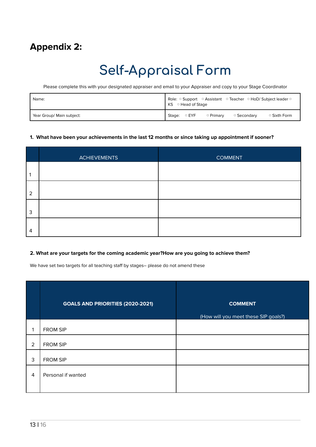## <span id="page-16-0"></span>**Appendix 2:**

## **Self-Appraisal Form**

<span id="page-16-1"></span>Please complete this with your designated appraiser and email to your Appraiser and copy to your Stage Coordinator

| Name:                     | 1 Role: □ Support □ Assistant □ Teacher □ HoD/ Subject leader □<br>KS <sup>o</sup> Head of Stage |
|---------------------------|--------------------------------------------------------------------------------------------------|
| Year Group/ Main subject: | $\circ$ EYF<br>□ Secondarv<br>□ Primarv<br>$\circ$ Sixth Form<br>Stage:                          |

#### <span id="page-16-2"></span>1. What have been your achievements in the last 12 months or since taking up appointment if sooner?

|                | <b>ACHIEVEMENTS</b> | <b>COMMENT</b> |
|----------------|---------------------|----------------|
|                |                     |                |
| $\overline{2}$ |                     |                |
| 3              |                     |                |
| 4              |                     |                |

#### <span id="page-16-3"></span>**2. What are your targets for the coming academic year?How are you going to achieve them?**

<span id="page-16-4"></span>We have set two targets for all teaching staff by stages- please do not amend these

|   | <b>GOALS AND PRIORITIES (2020-2021)</b> | <b>COMMENT</b><br>(How will you meet these SIP goals?) |
|---|-----------------------------------------|--------------------------------------------------------|
| 1 | <b>FROM SIP</b>                         |                                                        |
| 2 | <b>FROM SIP</b>                         |                                                        |
| 3 | <b>FROM SIP</b>                         |                                                        |
| 4 | Personal if wanted                      |                                                        |
|   |                                         |                                                        |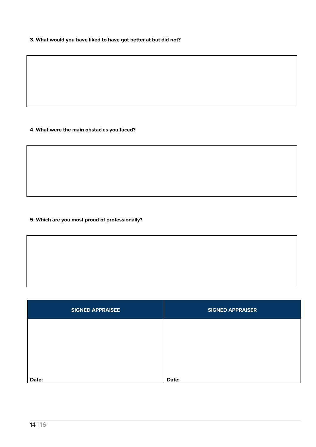**3. What would you have liked to have got better at but did not?**

**4. What were the main obstacles you faced?**

#### **5. Which are you most proud of professionally?**

| <b>SIGNED APPRAISEE</b> | <b>SIGNED APPRAISER</b> |
|-------------------------|-------------------------|
|                         |                         |
|                         |                         |
|                         |                         |
| Date:                   | Date:                   |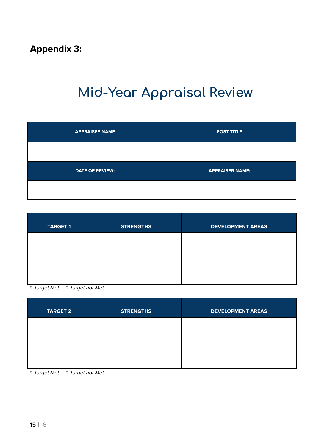<span id="page-18-0"></span>**Appendix 3:**

## **Mid-Year Appraisal Review**

| <b>APPRAISEE NAME</b>  | <b>POST TITLE</b>      |
|------------------------|------------------------|
|                        |                        |
| <b>DATE OF REVIEW:</b> | <b>APPRAISER NAME:</b> |
|                        |                        |

| <b>TARGET 1</b> | <b>STRENGTHS</b> | <b>DEVELOPMENT AREAS</b> |
|-----------------|------------------|--------------------------|
|                 |                  |                          |
|                 |                  |                          |
|                 |                  |                          |

▢ Target Met ▢ Target not Met

| <b>TARGET 2</b> | <b>STRENGTHS</b> | <b>DEVELOPMENT AREAS</b> |
|-----------------|------------------|--------------------------|
|                 |                  |                          |
|                 |                  |                          |
|                 |                  |                          |

▢ Target Met ▢ Target not Met